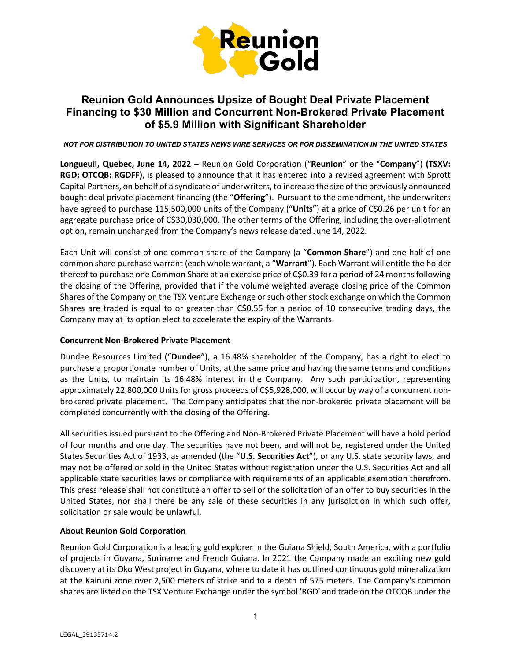

# **Reunion Gold Announces Upsize of Bought Deal Private Placement Financing to \$30 Million and Concurrent Non-Brokered Private Placement of \$5.9 Million with Significant Shareholder**

*NOT FOR DISTRIBUTION TO UNITED STATES NEWS WIRE SERVICES OR FOR DISSEMINATION IN THE UNITED STATES*

**Longueuil, Quebec, June 14, 2022** – Reunion Gold Corporation ("**Reunion**" or the "**Company**") **(TSXV: RGD; OTCQB: RGDFF)**, is pleased to announce that it has entered into a revised agreement with Sprott Capital Partners, on behalf of a syndicate of underwriters, to increase the size of the previously announced bought deal private placement financing (the "**Offering**"). Pursuant to the amendment, the underwriters have agreed to purchase 115,500,000 units of the Company ("**Units**") at a price of C\$0.26 per unit for an aggregate purchase price of C\$30,030,000. The other terms of the Offering, including the over-allotment option, remain unchanged from the Company's news release dated June 14, 2022.

Each Unit will consist of one common share of the Company (a "**Common Share**") and one-half of one common share purchase warrant (each whole warrant, a "**Warrant**"). Each Warrant will entitle the holder thereof to purchase one Common Share at an exercise price of C\$0.39 for a period of 24 months following the closing of the Offering, provided that if the volume weighted average closing price of the Common Shares of the Company on the TSX Venture Exchange or such other stock exchange on which the Common Shares are traded is equal to or greater than C\$0.55 for a period of 10 consecutive trading days, the Company may at its option elect to accelerate the expiry of the Warrants.

## **Concurrent Non-Brokered Private Placement**

Dundee Resources Limited ("**Dundee**"), a 16.48% shareholder of the Company, has a right to elect to purchase a proportionate number of Units, at the same price and having the same terms and conditions as the Units, to maintain its 16.48% interest in the Company. Any such participation, representing approximately 22,800,000 Units for gross proceeds of C\$5,928,000, will occur by way of a concurrent nonbrokered private placement. The Company anticipates that the non-brokered private placement will be completed concurrently with the closing of the Offering.

All securities issued pursuant to the Offering and Non-Brokered Private Placement will have a hold period of four months and one day. The securities have not been, and will not be, registered under the United States Securities Act of 1933, as amended (the "**U.S. Securities Act**"), or any U.S. state security laws, and may not be offered or sold in the United States without registration under the U.S. Securities Act and all applicable state securities laws or compliance with requirements of an applicable exemption therefrom. This press release shall not constitute an offer to sell or the solicitation of an offer to buy securities in the United States, nor shall there be any sale of these securities in any jurisdiction in which such offer, solicitation or sale would be unlawful.

## **About Reunion Gold Corporation**

Reunion Gold Corporation is a leading gold explorer in the Guiana Shield, South America, with a portfolio of projects in Guyana, Suriname and French Guiana. In 2021 the Company made an exciting new gold discovery at its Oko West project in Guyana, where to date it has outlined continuous gold mineralization at the Kairuni zone over 2,500 meters of strike and to a depth of 575 meters. The Company's common shares are listed on the TSX Venture Exchange under the symbol 'RGD' and trade on the OTCQB under the